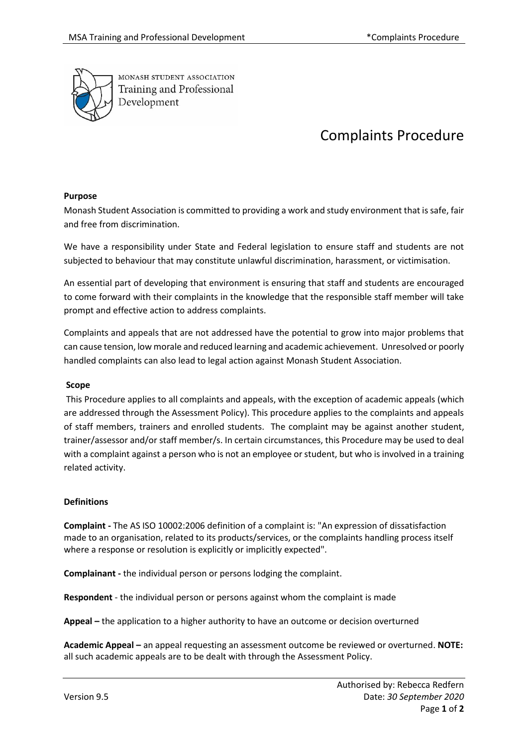

MONASH STUDENT ASSOCIATION Training and Professional Development

# Complaints Procedure

## **Purpose**

Monash Student Association is committed to providing a work and study environment that is safe, fair and free from discrimination.

We have a responsibility under State and Federal legislation to ensure staff and students are not subjected to behaviour that may constitute unlawful discrimination, harassment, or victimisation.

An essential part of developing that environment is ensuring that staff and students are encouraged to come forward with their complaints in the knowledge that the responsible staff member will take prompt and effective action to address complaints.

Complaints and appeals that are not addressed have the potential to grow into major problems that can cause tension, low morale and reduced learning and academic achievement. Unresolved or poorly handled complaints can also lead to legal action against Monash Student Association.

## **Scope**

This Procedure applies to all complaints and appeals, with the exception of academic appeals (which are addressed through the Assessment Policy). This procedure applies to the complaints and appeals of staff members, trainers and enrolled students. The complaint may be against another student, trainer/assessor and/or staff member/s. In certain circumstances, this Procedure may be used to deal with a complaint against a person who is not an employee or student, but who is involved in a training related activity.

## **Definitions**

**Complaint -** The AS ISO 10002:2006 definition of a complaint is: "An expression of dissatisfaction made to an organisation, related to its products/services, or the complaints handling process itself where a response or resolution is explicitly or implicitly expected".

**Complainant -** the individual person or persons lodging the complaint.

**Respondent** - the individual person or persons against whom the complaint is made

**Appeal –** the application to a higher authority to have an outcome or decision overturned

**Academic Appeal –** an appeal requesting an assessment outcome be reviewed or overturned. **NOTE:**  all such academic appeals are to be dealt with through the Assessment Policy.